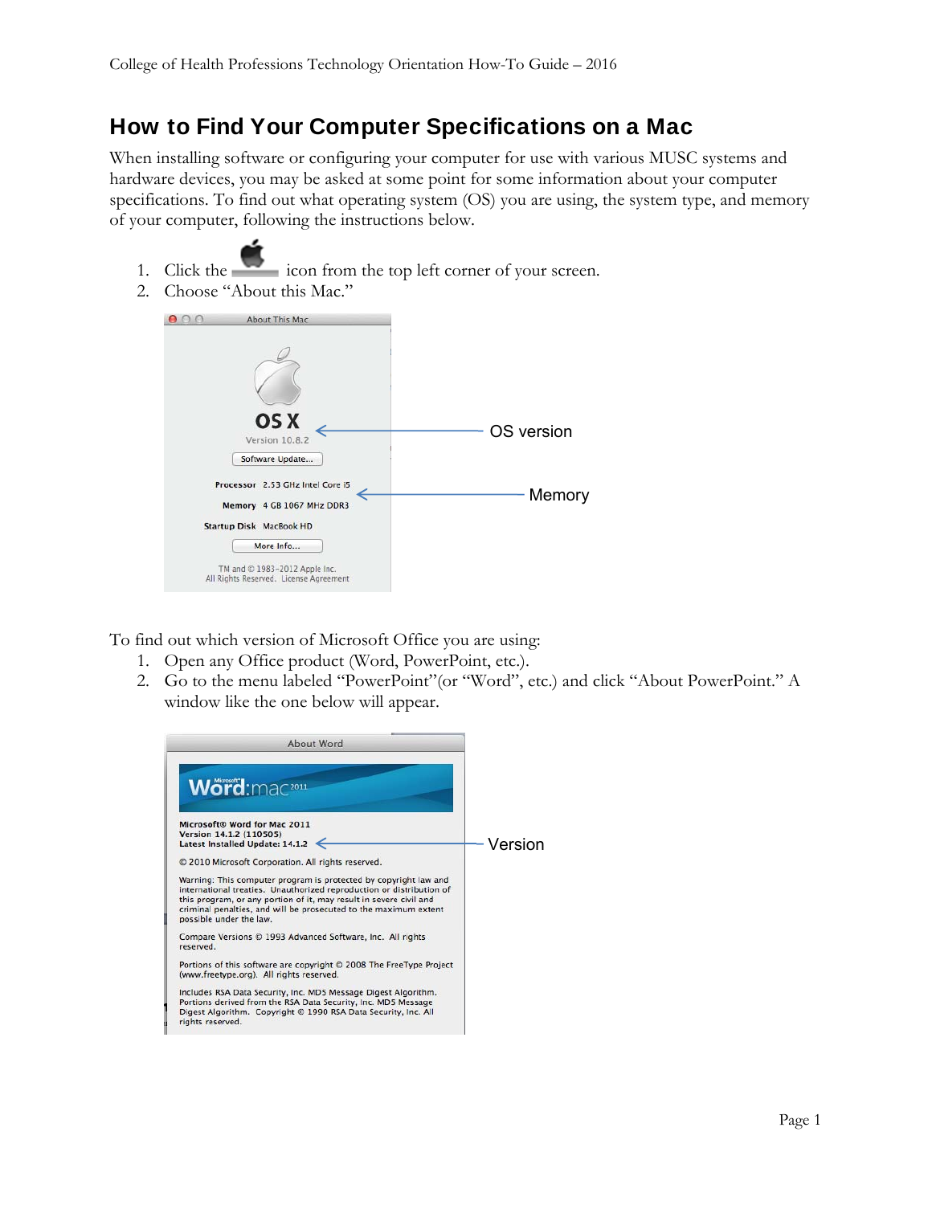## How to Find Your Computer Specifications on a Mac

When installing software or configuring your computer for use with various MUSC systems and hardware devices, you may be asked at some point for some information about your computer specifications. To find out what operating system (OS) you are using, the system type, and memory of your computer, following the instructions below.

- 1. Click the icon from the top left corner of your screen.
- 2. Choose "About this Mac."



To find out which version of Microsoft Office you are using:

- 1. Open any Office product (Word, PowerPoint, etc.).
- 2. Go to the menu labeled "PowerPoint"(or "Word", etc.) and click "About PowerPoint." A window like the one below will appear.